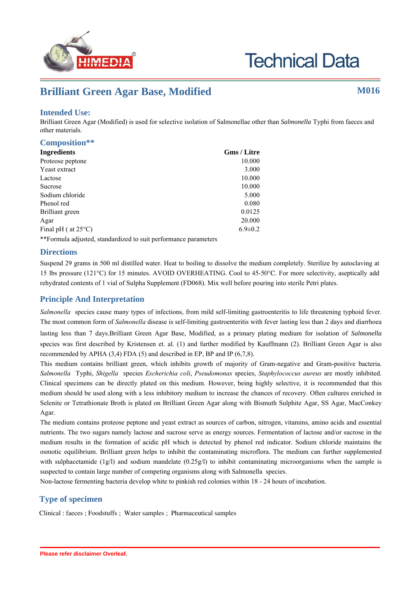

# **Brilliant Green Agar Base, Modified M016**

## **Intended Use:**

Brilliant Green Agar (Modified) is used for selective isolation of Salmonellae other than *Salmonella* Typhi from faeces and other materials.

| Composition**                                                   |                    |
|-----------------------------------------------------------------|--------------------|
| <b>Ingredients</b>                                              | <b>Gms / Litre</b> |
| Proteose peptone                                                | 10.000             |
| Yeast extract                                                   | 3.000              |
| Lactose                                                         | 10.000             |
| <b>Sucrose</b>                                                  | 10.000             |
| Sodium chloride                                                 | 5.000              |
| Phenol red                                                      | 0.080              |
| Brilliant green                                                 | 0.0125             |
| Agar                                                            | 20.000             |
| Final pH ( $at 25^{\circ}$ C)                                   | $6.9 \pm 0.2$      |
| **Formula adjusted, standardized to suit performance parameters |                    |

**Directions**

Suspend 29 grams in 500 ml distilled water. Heat to boiling to dissolve the medium completely. Sterilize by autoclaving at 15 lbs pressure (121°C) for 15 minutes. AVOID OVERHEATING. Cool to 45-50°C. For more selectivity, aseptically add rehydrated contents of 1 vial of Sulpha Supplement (FD068). Mix well before pouring into sterile Petri plates.

## **Principle And Interpretation**

*Salmonella* species cause many types of infections, from mild self-limiting gastroenteritis to life threatening typhoid fever. The most common form of *Salmonella* disease is self-limiting gastroenteritis with fever lasting less than 2 days and diarrhoea lasting less than 7 days.Brilliant Green Agar Base, Modified, as a primary plating medium for isolation of *Salmonella* species was first described by Kristensen et. al. (1) and further modified by Kauffmann (2). Brilliant Green Agar is also recommended by APHA (3,4) FDA (5) and described in EP, BP and IP (6,7,8).

This medium contains brilliant green, which inhibits growth of majority of Gram-negative and Gram-positive bacteria. *Salmonella* Typhi, *Shigella* species *Escherichia coli*, *Pseudomonas* species, *Staphylococcus aureus* are mostly inhibited. Clinical specimens can be directly plated on this medium. However, being highly selective, it is recommended that this medium should be used along with a less inhibitory medium to increase the chances of recovery. Often cultures enriched in Selenite or Tetrathionate Broth is plated on Brilliant Green Agar along with Bismuth Sulphite Agar, SS Agar, MacConkey Agar.

The medium contains proteose peptone and yeast extract as sources of carbon, nitrogen, vitamins, amino acids and essential nutrients. The two sugars namely lactose and sucrose serve as energy sources. Fermentation of lactose and/or sucrose in the medium results in the formation of acidic pH which is detected by phenol red indicator. Sodium chloride maintains the osmotic equilibrium. Brilliant green helps to inhibit the contaminating microflora. The medium can further supplemented with sulphacetamide (1g/l) and sodium mandelate (0.25g/l) to inhibit contaminating microorganisms when the sample is suspected to contain large number of competing organisms along with Salmonella species.

Non-lactose fermenting bacteria develop white to pinkish red colonies within 18 - 24 hours of incubation.

## **Type of specimen**

Clinical : faeces ; Foodstuffs ; Water samples ; Pharmaceutical samples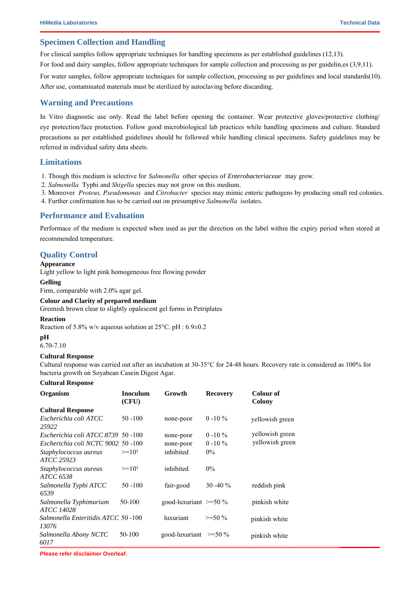### **Specimen Collection and Handling**

For clinical samples follow appropriate techniques for handling specimens as per established guidelines (12,13).

For food and dairy samples, follow appropriate techniques for sample collection and processing as per guidelin,es (3,9,11).

For water samples, follow appropriate techniques for sample collection, processing as per guidelines and local standards(10). After use, contaminated materials must be sterilized by autoclaving before discarding.

#### **Warning and Precautions**

In Vitro diagnostic use only. Read the label before opening the container. Wear protective gloves/protective clothing/ eye protection/face protection. Follow good microbiological lab practices while handling specimens and culture. Standard precautions as per established guidelines should be followed while handling clinical specimens. Safety guidelines may be referred in individual safety data sheets.

#### **Limitations**

- 1. Though this medium is selective for *Salmonella* other species of *Enterobacteriaceae* may grow.
- 2. *Salmonella* Typhi and *Shigella* species may not grow on this medium.
- 3. Moreover *Proteus, Pseudomonas* and *Citrobacter* species may mimic enteric pathogens by producing small red colonies.
- 4. Further confirmation has to be carried out on presumptive *Salmonella* isolates.

#### **Performance and Evaluation**

Performace of the medium is expected when used as per the direction on the label within the expiry period when stored at recommended temperature.

#### **Quality Control**

#### **Appearance**

Light yellow to light pink homogeneous free flowing powder

#### **Gelling**

Firm, comparable with 2.0% agar gel.

#### **Colour and Clarity of prepared medium**

Greenish brown clear to slightly opalescent gel forms in Petriplates

#### **Reaction**

Reaction of 5.8% w/v aqueous solution at 25°C. pH : 6.9±0.2

#### **pH**

6.70-7.10

#### **Cultural Response**

Cultural response was carried out after an incubation at 30-35°C for 24-48 hours. Recovery rate is considered as 100% for bacteria growth on Soyabean Casein Digest Agar.

#### **Cultural Response**

| <b>Organism</b>                             | <b>Inoculum</b><br>(CFU) | Growth                         | <b>Recovery</b> | Colour of<br>Colony |
|---------------------------------------------|--------------------------|--------------------------------|-----------------|---------------------|
| <b>Cultural Response</b>                    |                          |                                |                 |                     |
| Escherichia coli ATCC<br>25922              | $50 - 100$               | none-poor                      | $0 - 10 \%$     | yellowish green     |
| Escherichia coli ATCC 8739 50 -100          |                          | none-poor                      | $0 - 10 \%$     | yellowish green     |
| Escherichia coli NCTC 9002                  | $50 - 100$               | none-poor                      | $0 - 10 \%$     | yellowish green     |
| Staphylococcus aureus<br><i>ATCC 25923</i>  | $>=10^3$                 | inhibited                      | $0\%$           |                     |
| Staphylococcus aureus<br><i>ATCC 6538</i>   | $>=10^3$                 | inhibited                      | $0\%$           |                     |
| Salmonella Typhi ATCC<br>6539               | $50 - 100$               | fair-good                      | 30 - 40 $\%$    | reddish pink        |
| Salmonella Typhimurium<br><i>ATCC 14028</i> | 50-100                   | good-luxuriant $\approx$ =50 % |                 | pinkish white       |
| Salmonella Enteritidis ATCC 50-100<br>13076 |                          | luxuriant                      | $>=50\%$        | pinkish white       |
| Salmonella Abony NCTC<br>6017               | 50-100                   | good-luxuriant $\geq 50\%$     |                 | pinkish white       |

**Please refer disclaimer Overleaf.**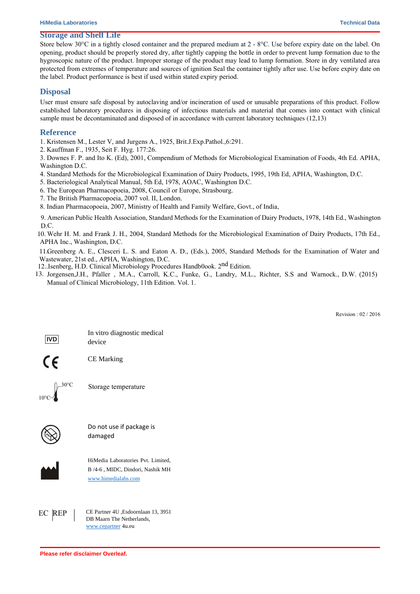#### **Storage and Shelf Life**

Store below 30<sup>o</sup>C in a tightly closed container and the prepared medium at 2 - 8<sup>o</sup>C. Use before expiry date on the label. On opening, product should be properly stored dry, after tightly capping the bottle in order to prevent lump formation due to the hygroscopic nature of the product. Improper storage of the product may lead to lump formation. Store in dry ventilated area protected from extremes of temperature and sources of ignition Seal the container tightly after use. Use before expiry date on the label. Product performance is best if used within stated expiry period.

#### **Disposal**

User must ensure safe disposal by autoclaving and/or incineration of used or unusable preparations of this product. Follow established laboratory procedures in disposing of infectious materials and material that comes into contact with clinical sample must be decontaminated and disposed of in accordance with current laboratory techniques (12,13)

#### **Reference**

 $10<sup>c</sup>$ 

1. Kristensen M., Lester V, and Jurgens A., 1925, Brit.J.Exp.Pathol.,6:291.

2. Kauffman F., 1935, Seit F. Hyg. 177:26.

3. Downes F. P. and Ito K. (Ed), 2001, Compendium of Methods for Microbiological Examination of Foods, 4th Ed. APHA, Washington D.C.

4. Standard Methods for the Microbiological Examination of Dairy Products, 1995, 19th Ed, APHA, Washington, D.C.

5. Bacteriological Analytical Manual, 5th Ed, 1978, AOAC, Washington D.C.

6. The European Pharmacopoeia, 2008, Council or Europe, Strasbourg.

7. The British Pharmacopoeia, 2007 vol. II, London.

8. Indian Pharmacopoeia, 2007, Ministry of Health and Family Welfare, Govt., of India,

9. American Public Health Association, Standard Methods for the Examination of Dairy Products, 1978, 14th Ed., Washington D.C.

10. Wehr H. M. and Frank J. H., 2004, Standard Methods for the Microbiological Examination of Dairy Products, 17th Ed., APHA Inc., Washington, D.C.

11.Greenberg A. E., Clesceri L. S. and Eaton A. D., (Eds.), 2005, Standard Methods for the Examination of Water and . Wastewater, 21st ed., APHA, Washington, D.C.

12. Isenberg, H.D. Clinical Microbiology Procedures Handb0ook. 2<sup>nd</sup> Edition.

13. Jorgensen,J.H., Pfaller , M.A., Carroll, K.C., Funke, G., Landry, M.L., Richter, S.S and Warnock., D.W. (2015) Manual of Clinical Microbiology, 11th Edition. Vol. 1.

Revision : 03 / 2018

| <b>IVD</b>       | In vitro diagnostic medical<br>device                                                                 |
|------------------|-------------------------------------------------------------------------------------------------------|
| $\zeta$          | <b>CE</b> Marking                                                                                     |
| 30°C             | Storage temperature                                                                                   |
|                  | Do not use if package is<br>damaged                                                                   |
|                  | HiMedia Laboratories Pvt. Limited,<br>23 Vadhani Industrial Estate,<br>LBS Marg, Mumbai-86, MS, India |
| <b>REP</b><br>EC | CE Partner 4U , Esdoornlaan 13, 3951<br>DB Maarn The Netherlands,<br>www.cepartner 4u.eu              |

**Please refer disclaimer Overleaf.**